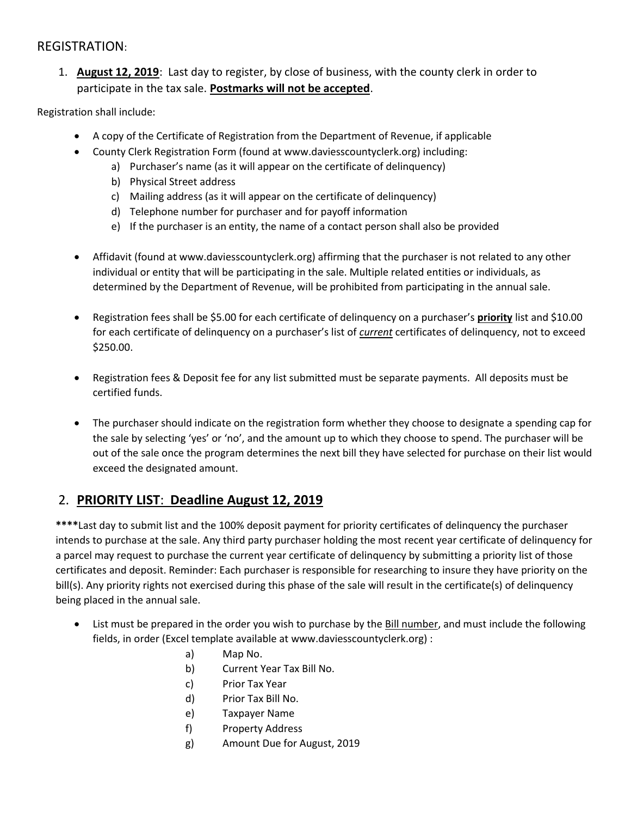### REGISTRATION:

1. **August 12, 2019**: Last day to register, by close of business, with the county clerk in order to participate in the tax sale. **Postmarks will not be accepted**.

Registration shall include:

- A copy of the Certificate of Registration from the Department of Revenue, if applicable
- County Clerk Registration Form (found at www.daviesscountyclerk.org) including:
	- a) Purchaser's name (as it will appear on the certificate of delinquency)
		- b) Physical Street address
		- c) Mailing address (as it will appear on the certificate of delinquency)
		- d) Telephone number for purchaser and for payoff information
		- e) If the purchaser is an entity, the name of a contact person shall also be provided
- Affidavit (found at www.daviesscountyclerk.org) affirming that the purchaser is not related to any other individual or entity that will be participating in the sale. Multiple related entities or individuals, as determined by the Department of Revenue, will be prohibited from participating in the annual sale.
- Registration fees shall be \$5.00 for each certificate of delinquency on a purchaser's **priority** list and \$10.00 for each certificate of delinquency on a purchaser's list of *current* certificates of delinquency, not to exceed \$250.00.
- Registration fees & Deposit fee for any list submitted must be separate payments. All deposits must be certified funds.
- The purchaser should indicate on the registration form whether they choose to designate a spending cap for the sale by selecting 'yes' or 'no', and the amount up to which they choose to spend. The purchaser will be out of the sale once the program determines the next bill they have selected for purchase on their list would exceed the designated amount.

### 2. **PRIORITY LIST**: **Deadline August 12, 2019**

**\*\*\*\***Last day to submit list and the 100% deposit payment for priority certificates of delinquency the purchaser intends to purchase at the sale. Any third party purchaser holding the most recent year certificate of delinquency for a parcel may request to purchase the current year certificate of delinquency by submitting a priority list of those certificates and deposit. Reminder: Each purchaser is responsible for researching to insure they have priority on the bill(s). Any priority rights not exercised during this phase of the sale will result in the certificate(s) of delinquency being placed in the annual sale.

- List must be prepared in the order you wish to purchase by the Bill number, and must include the following fields, in order (Excel template available at www.daviesscountyclerk.org) :
	- a) Map No.
	- b) Current Year Tax Bill No.
	- c) Prior Tax Year
	- d) Prior Tax Bill No.
	- e) Taxpayer Name
	- f) Property Address
	- g) Amount Due for August, 2019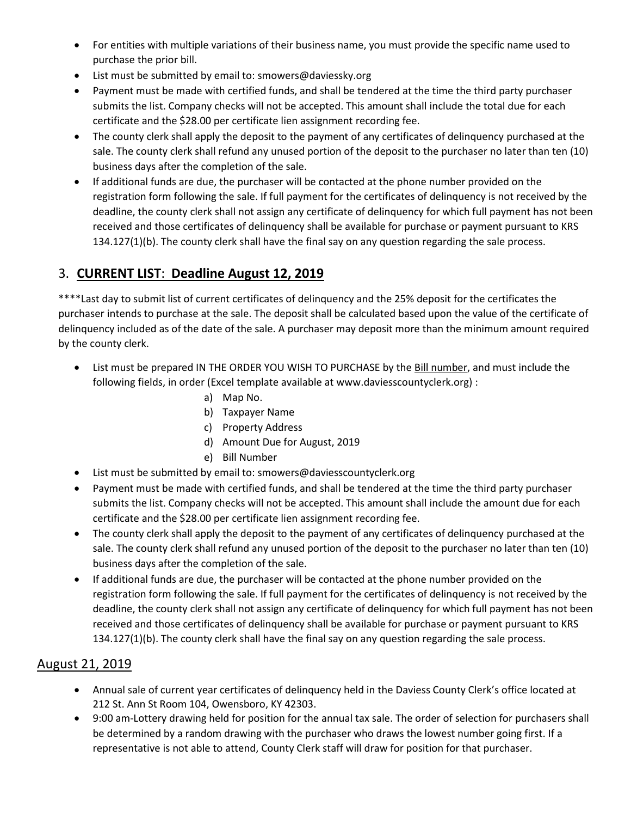- For entities with multiple variations of their business name, you must provide the specific name used to purchase the prior bill.
- List must be submitted by email to: smowers@daviessky.org
- Payment must be made with certified funds, and shall be tendered at the time the third party purchaser submits the list. Company checks will not be accepted. This amount shall include the total due for each certificate and the \$28.00 per certificate lien assignment recording fee.
- The county clerk shall apply the deposit to the payment of any certificates of delinquency purchased at the sale. The county clerk shall refund any unused portion of the deposit to the purchaser no later than ten (10) business days after the completion of the sale.
- If additional funds are due, the purchaser will be contacted at the phone number provided on the registration form following the sale. If full payment for the certificates of delinquency is not received by the deadline, the county clerk shall not assign any certificate of delinquency for which full payment has not been received and those certificates of delinquency shall be available for purchase or payment pursuant to KRS 134.127(1)(b). The county clerk shall have the final say on any question regarding the sale process.

# 3. **CURRENT LIST**: **Deadline August 12, 2019**

\*\*\*\*Last day to submit list of current certificates of delinquency and the 25% deposit for the certificates the purchaser intends to purchase at the sale. The deposit shall be calculated based upon the value of the certificate of delinquency included as of the date of the sale. A purchaser may deposit more than the minimum amount required by the county clerk.

- List must be prepared IN THE ORDER YOU WISH TO PURCHASE by the Bill number, and must include the following fields, in order (Excel template available at www.daviesscountyclerk.org) :
	- a) Map No.
	- b) Taxpayer Name
	- c) Property Address
	- d) Amount Due for August, 2019
	- e) Bill Number
- List must be submitted by email to: smowers@daviesscountyclerk.org
- Payment must be made with certified funds, and shall be tendered at the time the third party purchaser submits the list. Company checks will not be accepted. This amount shall include the amount due for each certificate and the \$28.00 per certificate lien assignment recording fee.
- The county clerk shall apply the deposit to the payment of any certificates of delinquency purchased at the sale. The county clerk shall refund any unused portion of the deposit to the purchaser no later than ten (10) business days after the completion of the sale.
- If additional funds are due, the purchaser will be contacted at the phone number provided on the registration form following the sale. If full payment for the certificates of delinquency is not received by the deadline, the county clerk shall not assign any certificate of delinquency for which full payment has not been received and those certificates of delinquency shall be available for purchase or payment pursuant to KRS 134.127(1)(b). The county clerk shall have the final say on any question regarding the sale process.

## August 21, 2019

- Annual sale of current year certificates of delinquency held in the Daviess County Clerk's office located at 212 St. Ann St Room 104, Owensboro, KY 42303.
- 9:00 am-Lottery drawing held for position for the annual tax sale. The order of selection for purchasers shall be determined by a random drawing with the purchaser who draws the lowest number going first. If a representative is not able to attend, County Clerk staff will draw for position for that purchaser.